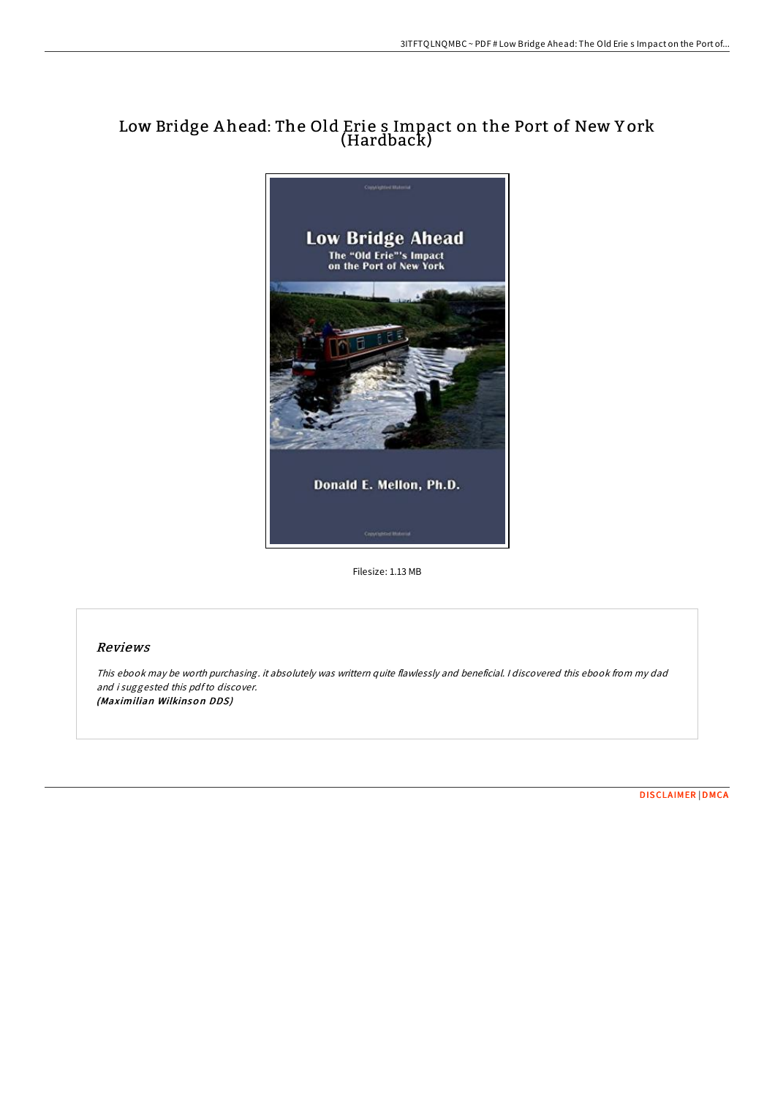## Low Bridge A head: The Old Erie s Impact on the Port of New Y ork (Hardback)



Filesize: 1.13 MB

## Reviews

This ebook may be worth purchasing. it absolutely was writtern quite flawlessly and beneficial. <sup>I</sup> discovered this ebook from my dad and i suggested this pdfto discover. (Maximilian Wilkinson DDS)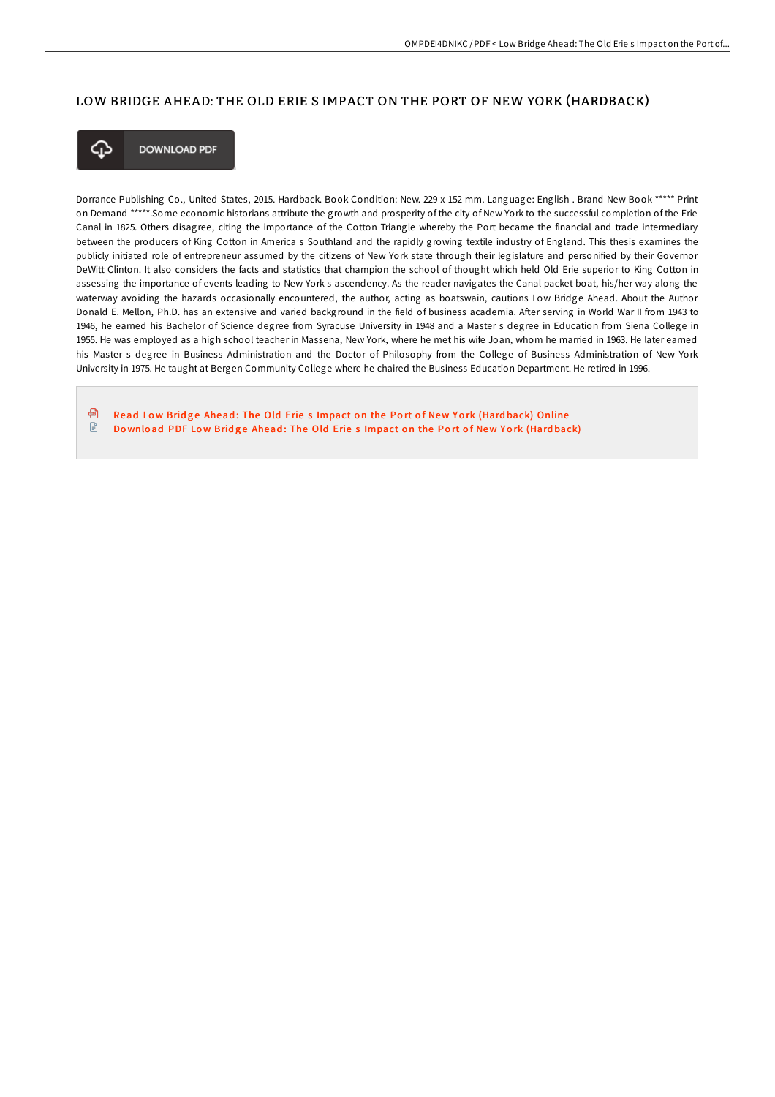## LOW BRIDGE AHEAD: THE OLD ERIE S IMPACT ON THE PORT OF NEW YORK (HARDBACK)



**DOWNLOAD PDF** 

Dorrance Publishing Co., United States, 2015. Hardback. Book Condition: New. 229 x 152 mm. Language: English . Brand New Book \*\*\*\*\* Print on Demand \*\*\*\*\*.Some economic historians attribute the growth and prosperity of the city of New York to the successful completion of the Erie Canal in 1825. Others disagree, citing the importance of the Cotton Triangle whereby the Port became the financial and trade intermediary between the producers of King Cotton in America s Southland and the rapidly growing textile industry of England. This thesis examines the publicly initiated role of entrepreneur assumed by the citizens of New York state through their legislature and personified by their Governor DeWitt Clinton. It also considers the facts and statistics that champion the school of thought which held Old Erie superior to King Cotton in assessing the importance of events leading to New York s ascendency. As the reader navigates the Canal packet boat, his/her way along the waterway avoiding the hazards occasionally encountered, the author, acting as boatswain, cautions Low Bridge Ahead. About the Author Donald E. Mellon, Ph.D. has an extensive and varied background in the field of business academia. After serving in World War II from 1943 to 1946, he earned his Bachelor of Science degree from Syracuse University in 1948 and a Master s degree in Education from Siena College in 1955. He was employed as a high school teacher in Massena, New York, where he met his wife Joan, whom he married in 1963. He later earned his Master s degree in Business Administration and the Doctor of Philosophy from the College of Business Administration of New York University in 1975. He taught at Bergen Community College where he chaired the Business Education Department. He retired in 1996.

கி Read Low Bridge Ahead: The Old Erie s [Impact](http://almighty24.tech/low-bridge-ahead-the-old-erie-s-impact-on-the-po.html) on the Port of New York (Hardback) Online  $\mathbb{R}$ Download PDF Low Bridge Ahead: The Old Erie s [Impact](http://almighty24.tech/low-bridge-ahead-the-old-erie-s-impact-on-the-po.html) on the Port of New York (Hardback)